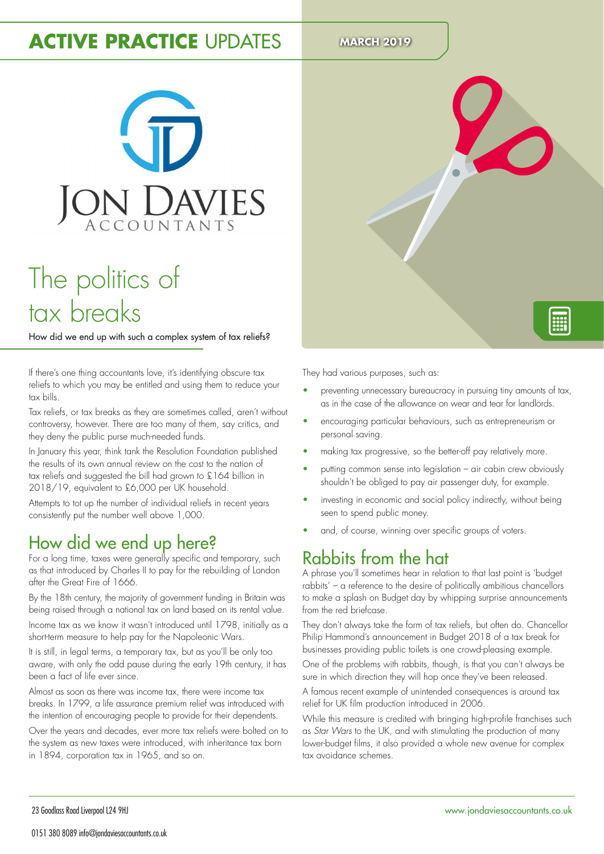# **ACTIVE PRACTICE** UPDATES MARCH 2019



# The politics of tax breaks

How did we end up with such a complex system of tax reliefs?

If there's one thing accountants love, it's identifying obscure tax reliefs to which you may be entitled and using them to reduce your tax bills.

Tax reliefs, or tax breaks as they are sometimes called, aren't without controversy, however. There are too many of them, say critics, and they deny the public purse much-needed funds.

In January this year, think tank the Resolution Foundation published the results of its own annual review on the cost to the nation of tax reliefs and suggested the bill had grown to £164 billion in 2018/19, equivalent to £6,000 per UK household.

Attempts to tot up the number of individual reliefs in recent years consistently put the number well above 1,000.

## How did we end up here?

For a long time, taxes were generally specific and temporary, such as that introduced by Charles II to pay for the rebuilding of London after the Great Fire of 1666.

By the 18th century, the majority of government funding in Britain was being raised through a national tax on land based on its rental value.

Income tax as we know it wasn't introduced until 1798, initially as a short-term measure to help pay for the Napoleonic Wars.

It is still, in legal terms, a temporary tax, but as you'll be only too aware, with only the odd pause during the early 19th century, it has been a fact of life ever since.

Almost as soon as there was income tax, there were income tax breaks. In 1799, a life assurance premium relief was introduced with the intention of encouraging people to provide for their dependents.

Over the years and decades, ever more tax reliefs were bolted on to the system as new taxes were introduced, with inheritance tax born in 1894, corporation tax in 1965, and so on.



- preventing unnecessary bureaucracy in pursuing tiny amounts of tax, as in the case of the allowance on wear and tear for landlords.
- encouraging particular behaviours, such as entrepreneurism or personal saving.
- making tax progressive, so the better-off pay relatively more.
- putting common sense into legislation air cabin crew obviously shouldn't be obliged to pay air passenger duty, for example.
- investing in economic and social policy indirectly, without being seen to spend public money.
- and, of course, winning over specific groups of voters.

### Rabbits from the hat

A phrase you'll sometimes hear in relation to that last point is 'budget rabbits' – a reference to the desire of politically ambitious chancellors to make a splash on Budget day by whipping surprise announcements from the red briefcase.

They don't always take the form of tax reliefs, but often do. Chancellor Philip Hammond's announcement in Budget 2018 of a tax break for businesses providing public toilets is one crowd-pleasing example.

One of the problems with rabbits, though, is that you can't always be sure in which direction they will hop once they've been released.

A famous recent example of unintended consequences is around tax relief for UK ilm production introduced in 2006.

While this measure is credited with bringing high-profile franchises such as Star Wars to the UK, and with stimulating the production of many lower-budget ilms, it also provided a whole new avenue for complex tax avoidance schemes.